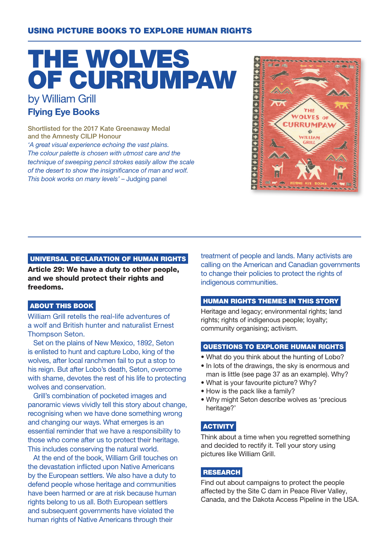### USING PICTURE BOOKS TO EXPLORE HUMAN RIGHTS

# THE WOLVES OF CURRUMPAW by William Grill

# Flying Eye Books

Shortlisted for the 2017 Kate Greenaway Medal and the Amnesty CILIP Honour 'A great visual experience echoing the vast plains. The colour palette is chosen with utmost care and the technique of sweeping pencil strokes easily allow the scale of the desert to show the insignificance of man and wolf. This book works on many levels' – Judging panel



#### UNIVERSAL DECLARATION OF HUMAN RIGHTS

Article 29: We have a duty to other people, and we should protect their rights and freedoms.

#### ABOUT THIS BOOK

William Grill retells the real-life adventures of a wolf and British hunter and naturalist Ernest Thompson Seton.

Set on the plains of New Mexico, 1892, Seton is enlisted to hunt and capture Lobo, king of the wolves, after local ranchmen fail to put a stop to his reign. But after Lobo's death, Seton, overcome with shame, devotes the rest of his life to protecting wolves and conservation.

Grill's combination of pocketed images and panoramic views vividly tell this story about change, recognising when we have done something wrong and changing our ways. What emerges is an essential reminder that we have a responsibility to those who come after us to protect their heritage. This includes conserving the natural world.

At the end of the book, William Grill touches on the devastation inflicted upon Native Americans by the European settlers. We also have a duty to defend people whose heritage and communities have been harmed or are at risk because human rights belong to us all. Both European settlers and subsequent governments have violated the human rights of Native Americans through their

treatment of people and lands. Many activists are calling on the American and Canadian governments to change their policies to protect the rights of indigenous communities.

#### HUMAN RIGHTS THEMES IN THIS STORY

Heritage and legacy; environmental rights; land rights; rights of indigenous people; loyalty; community organising; activism.

#### QUESTIONS TO EXPLORE HUMAN RIGHTS

- What do you think about the hunting of Lobo?
- In lots of the drawings, the sky is enormous and man is little (see page 37 as an example). Why?
- What is your favourite picture? Why?
- How is the pack like a family?
- Why might Seton describe wolves as 'precious heritage?'

#### **ACTIVITY**

Think about a time when you regretted something and decided to rectify it. Tell your story using pictures like William Grill.

#### RESEARCH

Find out about campaigns to protect the people affected by the Site C dam in Peace River Valley, Canada, and the Dakota Access Pipeline in the USA.